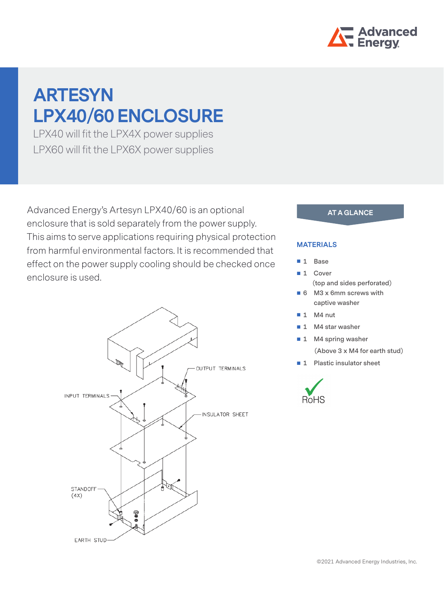

# **ARTESYN LPX40/60 ENCLOSURE**

LPX40 will fit the LPX4X power supplies LPX60 will fit the LPX6X power supplies

Advanced Energy's Artesyn LPX40/60 is an optional enclosure that is sold separately from the power supply. This aims to serve applications requiring physical protection from harmful environmental factors. It is recommended that effect on the power supply cooling should be checked once enclosure is used.



### **AT A GLANCE**

#### **MATERIALS**

- **1 Base**
- 1 Cover  **(top and sides perforated)**
- **6 M3 x 6mm screws with captive washer**
- **1** M4 nut
- **1 M4 star washer**
- **1 M4 spring washer**
	- **(Above 3 x M4 for earth stud)**
- **1** Plastic insulator sheet

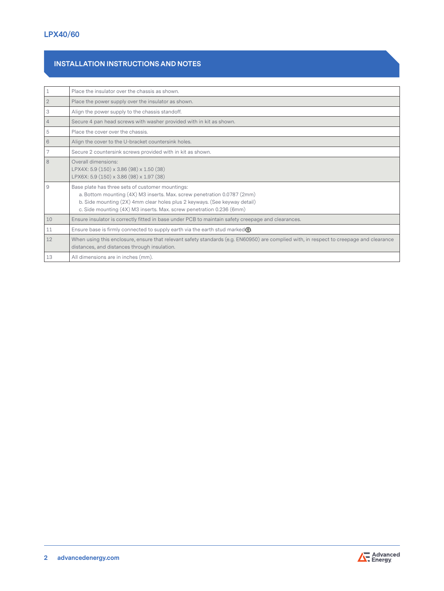## **INSTALLATION INSTRUCTIONS AND NOTES**

| $\mathbf{1}$   | Place the insulator over the chassis as shown.                                                                                                                                                                                                                                   |
|----------------|----------------------------------------------------------------------------------------------------------------------------------------------------------------------------------------------------------------------------------------------------------------------------------|
| $\sqrt{2}$     | Place the power supply over the insulator as shown.                                                                                                                                                                                                                              |
| 3              | Align the power supply to the chassis standoff.                                                                                                                                                                                                                                  |
| $\overline{4}$ | Secure 4 pan head screws with washer provided with in kit as shown.                                                                                                                                                                                                              |
| 5              | Place the cover over the chassis.                                                                                                                                                                                                                                                |
| 6              | Align the cover to the U-bracket countersink holes.                                                                                                                                                                                                                              |
| 7              | Secure 2 countersink screws provided with in kit as shown.                                                                                                                                                                                                                       |
| 8              | Overall dimensions:<br>LPX4X: 5.9 (150) x 3.86 (98) x 1.50 (38)<br>LPX6X: 5.9 (150) x 3.86 (98) x 1.97 (38)                                                                                                                                                                      |
| 9              | Base plate has three sets of customer mountings:<br>a. Bottom mounting (4X) M3 inserts. Max. screw penetration 0.0787 (2mm)<br>b. Side mounting (2X) 4mm clear holes plus 2 keyways. (See keyway detail)<br>c. Side mounting (4X) M3 inserts. Max. screw penetration 0.236 (6mm) |
| 10             | Ensure insulator is correctly fitted in base under PCB to maintain safety creepage and clearances.                                                                                                                                                                               |
| 11             | Ensure base is firmly connected to supply earth via the earth stud marked $\bigoplus$ .                                                                                                                                                                                          |
| 12             | When using this enclosure, ensure that relevant safety standards (e.g. EN60950) are complied with, in respect to creepage and clearance<br>distances, and distances through insulation.                                                                                          |
| 13             | All dimensions are in inches (mm).                                                                                                                                                                                                                                               |

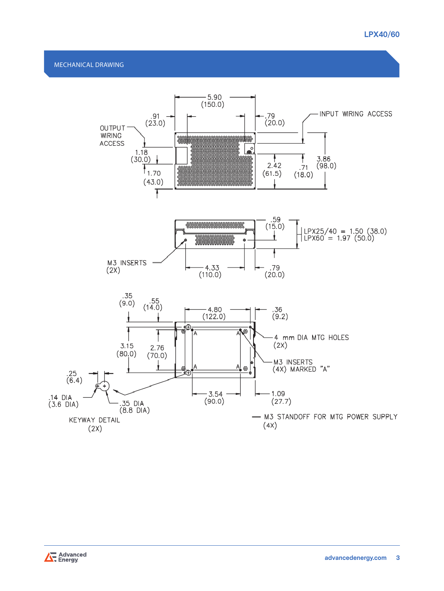